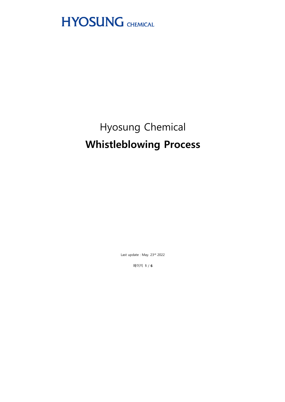

# Hyosung Chemical **Whistleblowing Process**

Last update: May. 23rd 2022

페이지 1 / 6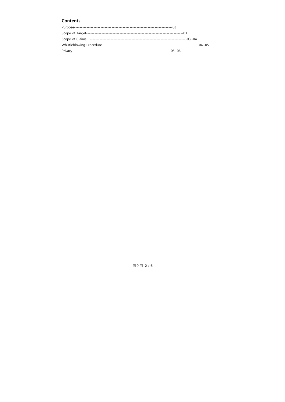# **Contents**

| Scope of Target- |  |
|------------------|--|
|                  |  |
|                  |  |
|                  |  |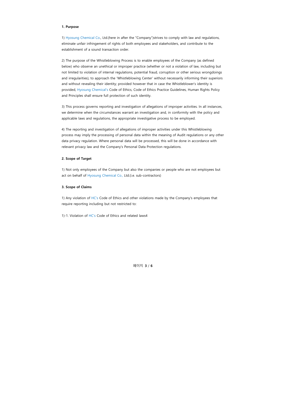### 1. Purpose

1) Hyosung Chemical Co., Ltd.(here in after the "Company")strives to comply with law and regulations, eliminate unfair infringement of rights of both employees and stakeholders, and contribute to the establishment of a sound transaction order.

2) The purpose of the Whistleblowing Process is to enable employees of the Company (as defined below) who observe an unethical or improper practice (whether or not a violation of law, including but not limited to violation of internal regulations, potential fraud, corruption or other serious wrongdoings and irregularities), to approach the 'Whistleblowing Center' without necessarily informing their superiors and without revealing their identity; provided however that in case the Whistleblower's identity is provided, Hyosung Chemical's Code of Ethics, Code of Ethics Practice Guidelines, Human Rights Policy and Principles shall ensure full protection of such identity.

3) This process governs reporting and investigation of allegations of improper activities. In all instances, we determine when the circumstances warrant an investigation and, in conformity with the policy and applicable laws and regulations, the appropriate investigative process to be employed.

4) The reporting and investigation of allegations of improper activities under this Whistleblowing process may imply the processing of personal data within the meaning of Audit regulations or any other data privacy regulation. Where personal data will be processed, this will be done in accordance with relevant privacy law and the Company's Personal Data Protection regulations.

## 2. Scope of Target

1) Not only employees of the Company but also the companies or people who are not employees but act on behalf of Hyosung Chemical Co., Ltd.(i.e. sub-contractors)

#### 3. Scope of Claims

1) Any violation of HC's Code of Ethics and other violations made by the Company's employees that require reporting including but not restricted to:

1)-1. Violation of HC's Code of Ethics and related laws4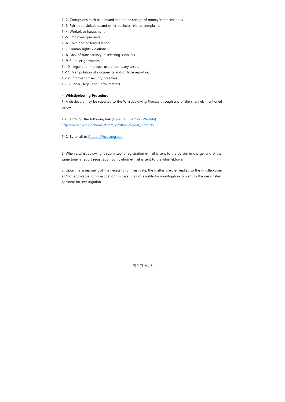- 1)-2. Corruptions such as demand for and or receipt of money/compensations
- 1)-3. Fair trade violations and other business related complaints
- 1)-4. Workplace harassment
- 1)-5. Employee grievance
- 1)-6. Child and or forced labor
- 1)-7. Human rights violations
- 1)-8. Lack of transparency in selecting suppliers
- 1)-9. Supplier grievances
- 1)-10. Illegal and improper use of company assets
- 1)-11. Manipulation of documents and or false reporting
- 1)-12. Information security breaches
- 1)-13. Other illegal and unfair matters

# 4. Whistleblowing Procedure

1) A disclosure may be reported to the Whistleblowing Process through any of the channels mentioned below.

1)-1. Through the following link (Hyosung Chemical Website) http://www.hyosungchemical.com/kr/others/report\_index.do

1)-2. By email to C-audit@hyosung.com

2) When a whistleblowing is submitted, a registration e-mail is sent to the person in charge, and at the same time, a report registration completion e-mail is sent to the whistleblower.

3) Upon the assessment of the necessity to investigate, the matter is either replied to the whistleblower as "not applicable for investigation" in case it is not eligible for investigation, or sent to the designated personal for investigation.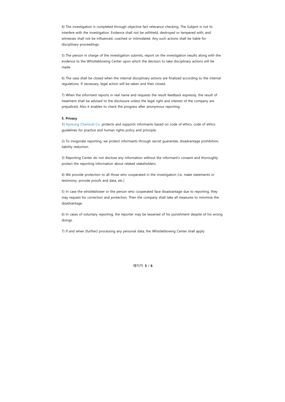4) The investigation is completed through objective fact relevance checking. The Subject is not to interfere with the investigation. Evidence shall not be withheld, destroyed or tampered with, and witnesses shall not be influenced, coached or intimidated. Any such actions shall be liable for disciplinary proceedings.

5) The person in charge of the investigation submits, report on the investigation results along with the evidence to the Whistleblowing Center upon which the decision to take disciplinary actions will be made.

6) The case shall be closed when the internal disciplinary actions are finalized according to the internal regulations. If necessary, legal action will be taken and then closed.

7) When the informant reports in real name and requests the result feedback expressly, the result of treatment shall be advised to the disclosure unless the legal right and interest of the company are prejudiced. Also it enables to check the progress after anonymous reporting.

### 5. Privacy

1) Hyosung Chemical Co. protects and supports informants based on code of ethics, code of ethics guidelines for practice and human rights policy and principle.

2) To invigorate reporting, we protect informants through secret guarantee, disadvantage prohibition, liability reduction.

3) Reporting Center do not disclose any information without the informant's consent and thoroughly protect the reporting information about related stakeholders.

4) We provide protection to all those who cooperated in the investigation (i.e. make statements or testimony, provide proofs and data, etc.)

5) In case the whistleblower or the person who cooperated face disadvantage due to reporting, they may request for correction and protection. Then the company shall take all measures to minimize the disadvantage.

6) In cases of voluntary reporting, the reporter may be lessened of his punishment despite of his wrong doings.

7) If and when (further) processing any personal data, the Whistleblowing Center shall apply